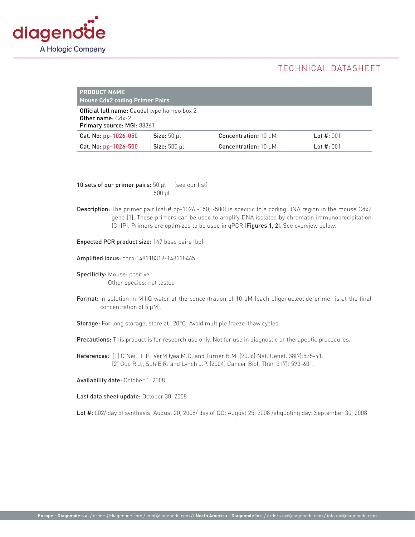

## TECHNICAL DATASHEET

| <b>PRODUCT NAME</b><br><b>Mouse Cdx2 coding Primer Pairs</b>                                                 |                     |                                  |              |
|--------------------------------------------------------------------------------------------------------------|---------------------|----------------------------------|--------------|
| <b>Official full name:</b> Caudal type homeo box 2<br><b>Other name: Cdx-2</b><br>Primary source: MGI: 88361 |                     |                                  |              |
| Cat. No: pp-1026-050                                                                                         | $Size: 50$ µl       | <b>Concentration:</b> $10 \mu M$ | Lot $#: 001$ |
| Cat. No: pp-1026-500                                                                                         | <b>Size: 500 µl</b> | <b>Concentration:</b> $10 \mu M$ | Lot $#: 001$ |

10 sets of our primer pairs:  $50 \mu l$  (see our list) 500 µl

Description: The primer pair (cat:# pp-1026 -050, -500) is specific to a coding DNA region in the mouse Cdx2 gene [1]. These primers can be used to amplify DNA isolated by chromatin immunoprecipitation (ChIP). Primers are optimized to be used in qPCR (Figures 1, 2). See overview below.

Expected PCR product size: 147 base pairs (bp).

Amplified locus: chr5:148118319-148118465

Specificity: Mouse: positive Other species: not tested

Format: In solution in MiliQ water at the concentration of 10  $\mu$ M (each oligonucleotide primer is at the final concentration of 5 µM).

Storage: For long storage, store at -20°C. Avoid multiple freeze-thaw cycles.

Precautions: This product is for research use only. Not for use in diagnostic or therapeutic procedures.

References: [1] O'Neill L.P., VerMilyea M.D. and Turner B.M. (2006) Nat. Genet. 38(7):835-41. [2] Guo R.J., Suh E.R. and Lynch J.P. (2004) Cancer Biol. Ther. 3 (7): 593-601.

Availability date: October 1, 2008

Last data sheet update: October 30, 2008

Lot #: 002/ day of synthesis: August 20, 2008/ day of QC: August 25, 2008 /aliquoting day: September 30, 2008